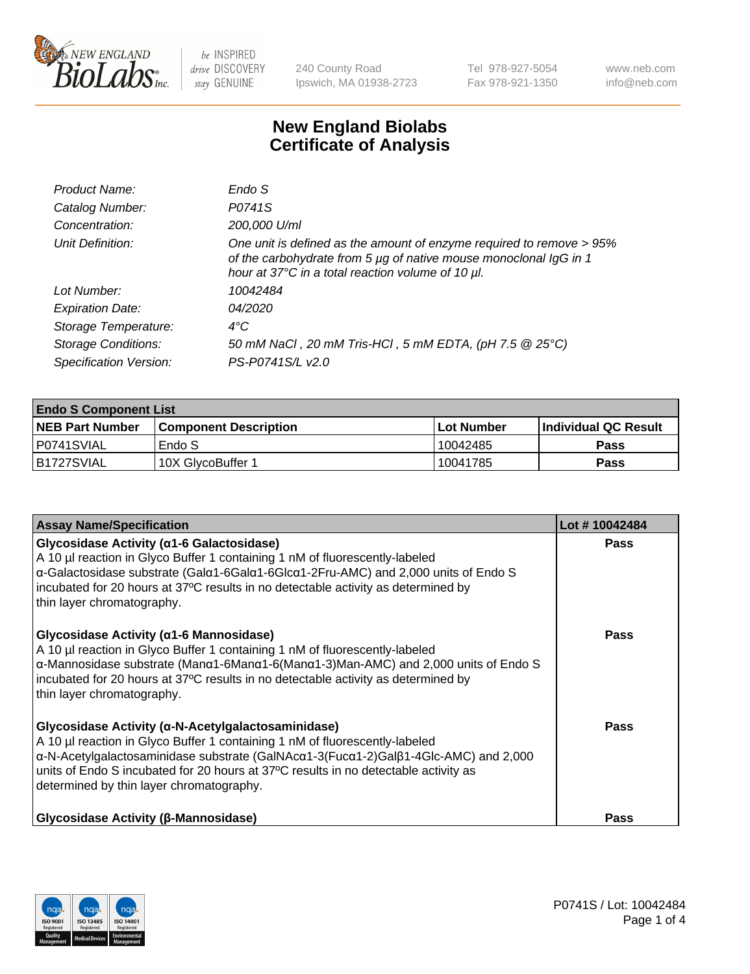

240 County Road Ipswich, MA 01938-2723 Tel 978-927-5054 Fax 978-921-1350 www.neb.com info@neb.com

## **New England Biolabs Certificate of Analysis**

| 200,000 U/ml                                                                                                                                                                                   |
|------------------------------------------------------------------------------------------------------------------------------------------------------------------------------------------------|
| One unit is defined as the amount of enzyme required to remove > 95%<br>of the carbohydrate from 5 µg of native mouse monoclonal IgG in 1<br>hour at 37°C in a total reaction volume of 10 µl. |
|                                                                                                                                                                                                |
|                                                                                                                                                                                                |
|                                                                                                                                                                                                |
| 50 mM NaCl, 20 mM Tris-HCl, 5 mM EDTA, (pH 7.5 @ 25°C)                                                                                                                                         |
| PS-P0741S/L v2.0                                                                                                                                                                               |
| 10042484                                                                                                                                                                                       |

| <b>Endo S Component List</b> |                         |            |                             |  |  |
|------------------------------|-------------------------|------------|-----------------------------|--|--|
| <b>NEB Part Number</b>       | l Component Description | Lot Number | <b>Individual QC Result</b> |  |  |
| P0741SVIAL                   | Endo S                  | 10042485   | Pass                        |  |  |
| B1727SVIAL                   | 10X GlycoBuffer 1       | 10041785   | Pass                        |  |  |

| <b>Assay Name/Specification</b>                                                                                                                                                                                                                                                                                                                                                               | Lot #10042484 |
|-----------------------------------------------------------------------------------------------------------------------------------------------------------------------------------------------------------------------------------------------------------------------------------------------------------------------------------------------------------------------------------------------|---------------|
| Glycosidase Activity (α1-6 Galactosidase)<br>A 10 µl reaction in Glyco Buffer 1 containing 1 nM of fluorescently-labeled<br>α-Galactosidase substrate (Galα1-6Galα1-6Glcα1-2Fru-AMC) and 2,000 units of Endo S<br>incubated for 20 hours at 37°C results in no detectable activity as determined by<br>thin layer chromatography.                                                             | Pass          |
| Glycosidase Activity ( $\alpha$ 1-6 Mannosidase)<br>A 10 µl reaction in Glyco Buffer 1 containing 1 nM of fluorescently-labeled<br>$\alpha$ -Mannosidase substrate (Man $\alpha$ 1-6Man $\alpha$ 1-6(Man $\alpha$ 1-3)Man-AMC) and 2,000 units of Endo S<br>incubated for 20 hours at 37°C results in no detectable activity as determined by<br>thin layer chromatography.                   | <b>Pass</b>   |
| Glycosidase Activity (α-N-Acetylgalactosaminidase)<br>A 10 µl reaction in Glyco Buffer 1 containing 1 nM of fluorescently-labeled<br>$\alpha$ -N-Acetylgalactosaminidase substrate (GalNAc $\alpha$ 1-3(Fuc $\alpha$ 1-2)Gal $\beta$ 1-4Glc-AMC) and 2,000<br>units of Endo S incubated for 20 hours at 37°C results in no detectable activity as<br>determined by thin layer chromatography. | Pass          |
| <b>Glycosidase Activity (β-Mannosidase)</b>                                                                                                                                                                                                                                                                                                                                                   | <b>Pass</b>   |

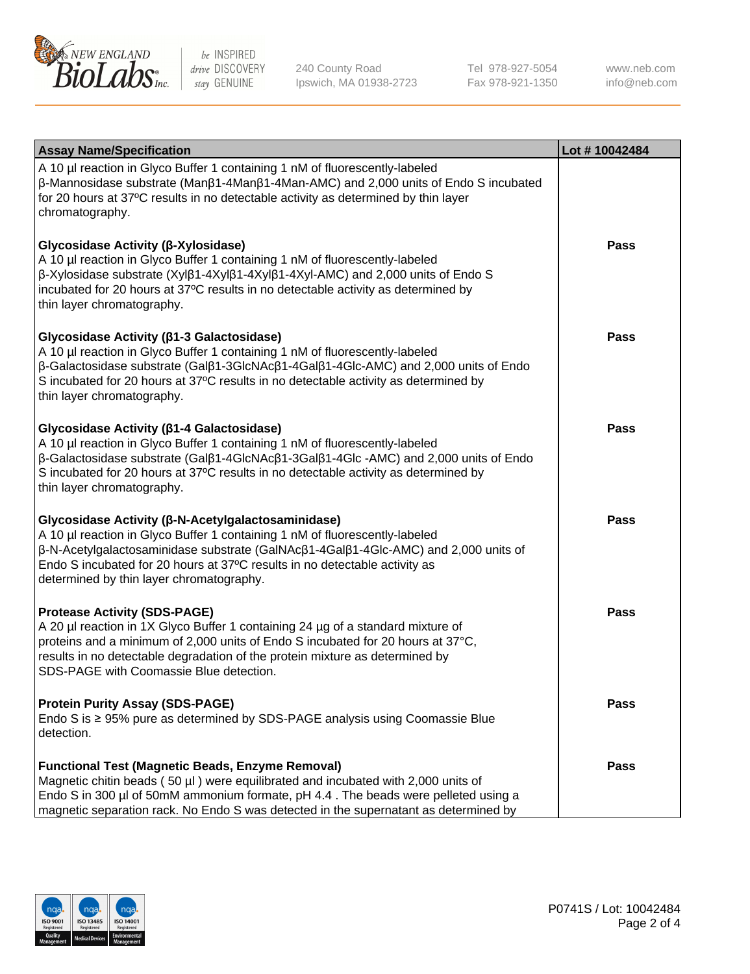

240 County Road Ipswich, MA 01938-2723 Tel 978-927-5054 Fax 978-921-1350

www.neb.com info@neb.com

| <b>Assay Name/Specification</b>                                                                                                                                                                                                                                                                                                                                           | Lot #10042484 |
|---------------------------------------------------------------------------------------------------------------------------------------------------------------------------------------------------------------------------------------------------------------------------------------------------------------------------------------------------------------------------|---------------|
| A 10 µl reaction in Glyco Buffer 1 containing 1 nM of fluorescently-labeled<br>$\beta$ -Mannosidase substrate (Man $\beta$ 1-4Man $\beta$ 1-4Man-AMC) and 2,000 units of Endo S incubated<br>for 20 hours at 37°C results in no detectable activity as determined by thin layer<br>chromatography.                                                                        |               |
| Glycosidase Activity (β-Xylosidase)<br>A 10 µl reaction in Glyco Buffer 1 containing 1 nM of fluorescently-labeled<br>$\beta$ -Xylosidase substrate (Xyl $\beta$ 1-4Xyl $\beta$ 1-4Xyl $\beta$ 1-4Xyl-AMC) and 2,000 units of Endo S<br>incubated for 20 hours at 37°C results in no detectable activity as determined by<br>thin layer chromatography.                   | Pass          |
| Glycosidase Activity (β1-3 Galactosidase)<br>A 10 µl reaction in Glyco Buffer 1 containing 1 nM of fluorescently-labeled<br>$\beta$ -Galactosidase substrate (Gal $\beta$ 1-3GlcNAc $\beta$ 1-4Gal $\beta$ 1-4Glc-AMC) and 2,000 units of Endo<br>S incubated for 20 hours at 37°C results in no detectable activity as determined by<br>thin layer chromatography.       | <b>Pass</b>   |
| Glycosidase Activity (β1-4 Galactosidase)<br>A 10 µl reaction in Glyco Buffer 1 containing 1 nM of fluorescently-labeled<br>$\beta$ -Galactosidase substrate (Gal $\beta$ 1-4GlcNAc $\beta$ 1-3Gal $\beta$ 1-4Glc -AMC) and 2,000 units of Endo<br>S incubated for 20 hours at 37°C results in no detectable activity as determined by<br>thin layer chromatography.      | Pass          |
| Glycosidase Activity (β-N-Acetylgalactosaminidase)<br>A 10 µl reaction in Glyco Buffer 1 containing 1 nM of fluorescently-labeled<br>$\beta$ -N-Acetylgalactosaminidase substrate (GalNAc $\beta$ 1-4Gal $\beta$ 1-4Glc-AMC) and 2,000 units of<br>Endo S incubated for 20 hours at 37°C results in no detectable activity as<br>determined by thin layer chromatography. | <b>Pass</b>   |
| <b>Protease Activity (SDS-PAGE)</b><br>A 20 µl reaction in 1X Glyco Buffer 1 containing 24 µg of a standard mixture of<br>proteins and a minimum of 2,000 units of Endo S incubated for 20 hours at 37°C,<br>results in no detectable degradation of the protein mixture as determined by<br>SDS-PAGE with Coomassie Blue detection.                                      | Pass          |
| <b>Protein Purity Assay (SDS-PAGE)</b><br>Endo S is ≥ 95% pure as determined by SDS-PAGE analysis using Coomassie Blue<br>detection.                                                                                                                                                                                                                                      | Pass          |
| <b>Functional Test (Magnetic Beads, Enzyme Removal)</b><br>Magnetic chitin beads (50 µl) were equilibrated and incubated with 2,000 units of<br>Endo S in 300 µl of 50mM ammonium formate, pH 4.4. The beads were pelleted using a<br>magnetic separation rack. No Endo S was detected in the supernatant as determined by                                                | Pass          |

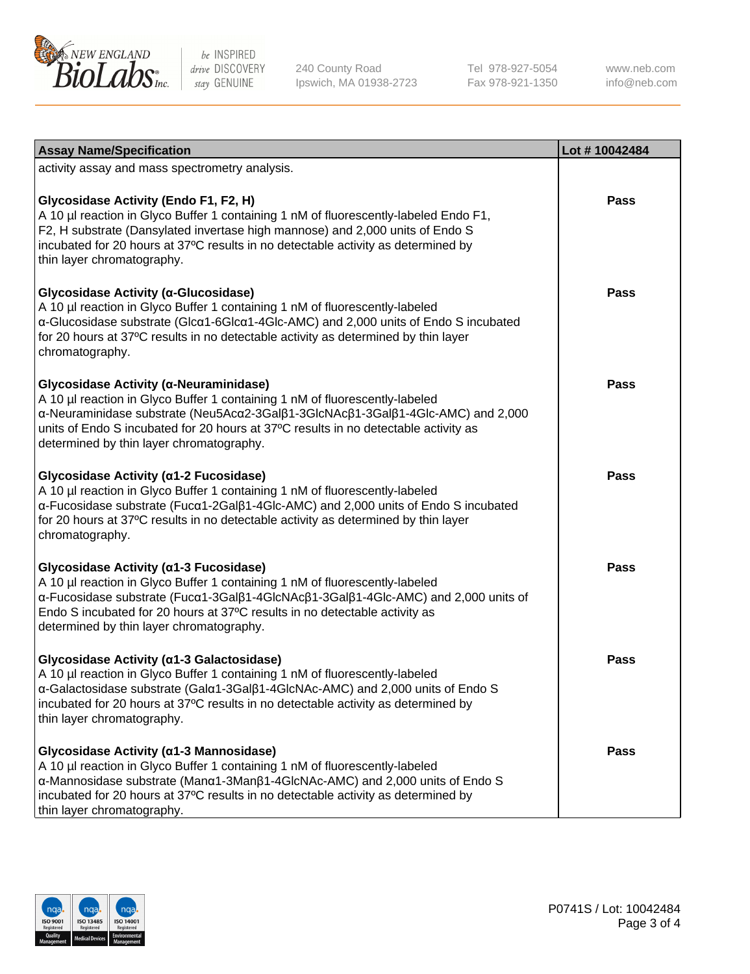

240 County Road Ipswich, MA 01938-2723 Tel 978-927-5054 Fax 978-921-1350

www.neb.com info@neb.com

| <b>Assay Name/Specification</b>                                                                                                                                                                                                                                                                                                             | Lot #10042484 |
|---------------------------------------------------------------------------------------------------------------------------------------------------------------------------------------------------------------------------------------------------------------------------------------------------------------------------------------------|---------------|
| activity assay and mass spectrometry analysis.                                                                                                                                                                                                                                                                                              |               |
| Glycosidase Activity (Endo F1, F2, H)<br>A 10 µl reaction in Glyco Buffer 1 containing 1 nM of fluorescently-labeled Endo F1,<br>F2, H substrate (Dansylated invertase high mannose) and 2,000 units of Endo S<br>incubated for 20 hours at 37°C results in no detectable activity as determined by<br>thin layer chromatography.           | Pass          |
| Glycosidase Activity (a-Glucosidase)<br>A 10 µl reaction in Glyco Buffer 1 containing 1 nM of fluorescently-labeled<br>α-Glucosidase substrate (Glcα1-6Glcα1-4Glc-AMC) and 2,000 units of Endo S incubated<br>for 20 hours at 37°C results in no detectable activity as determined by thin layer<br>chromatography.                         | Pass          |
| Glycosidase Activity (α-Neuraminidase)<br>A 10 µl reaction in Glyco Buffer 1 containing 1 nM of fluorescently-labeled<br>α-Neuraminidase substrate (Neu5Acα2-3Galβ1-3GlcNAcβ1-3Galβ1-4Glc-AMC) and 2,000<br>units of Endo S incubated for 20 hours at 37°C results in no detectable activity as<br>determined by thin layer chromatography. | Pass          |
| Glycosidase Activity (α1-2 Fucosidase)<br>A 10 µl reaction in Glyco Buffer 1 containing 1 nM of fluorescently-labeled<br>α-Fucosidase substrate (Fucα1-2Galβ1-4Glc-AMC) and 2,000 units of Endo S incubated<br>for 20 hours at 37°C results in no detectable activity as determined by thin layer<br>chromatography.                        | Pass          |
| Glycosidase Activity (α1-3 Fucosidase)<br>A 10 µl reaction in Glyco Buffer 1 containing 1 nM of fluorescently-labeled<br>α-Fucosidase substrate (Fucα1-3Galβ1-4GlcNAcβ1-3Galβ1-4Glc-AMC) and 2,000 units of<br>Endo S incubated for 20 hours at 37°C results in no detectable activity as<br>determined by thin layer chromatography.       | <b>Pass</b>   |
| Glycosidase Activity (α1-3 Galactosidase)<br>A 10 µl reaction in Glyco Buffer 1 containing 1 nM of fluorescently-labeled<br>a-Galactosidase substrate (Gala1-3Galß1-4GlcNAc-AMC) and 2,000 units of Endo S<br>incubated for 20 hours at 37°C results in no detectable activity as determined by<br>thin layer chromatography.               | <b>Pass</b>   |
| Glycosidase Activity (α1-3 Mannosidase)<br>A 10 µl reaction in Glyco Buffer 1 containing 1 nM of fluorescently-labeled<br>α-Mannosidase substrate (Manα1-3Manβ1-4GlcNAc-AMC) and 2,000 units of Endo S<br>incubated for 20 hours at 37°C results in no detectable activity as determined by<br>thin layer chromatography.                   | Pass          |